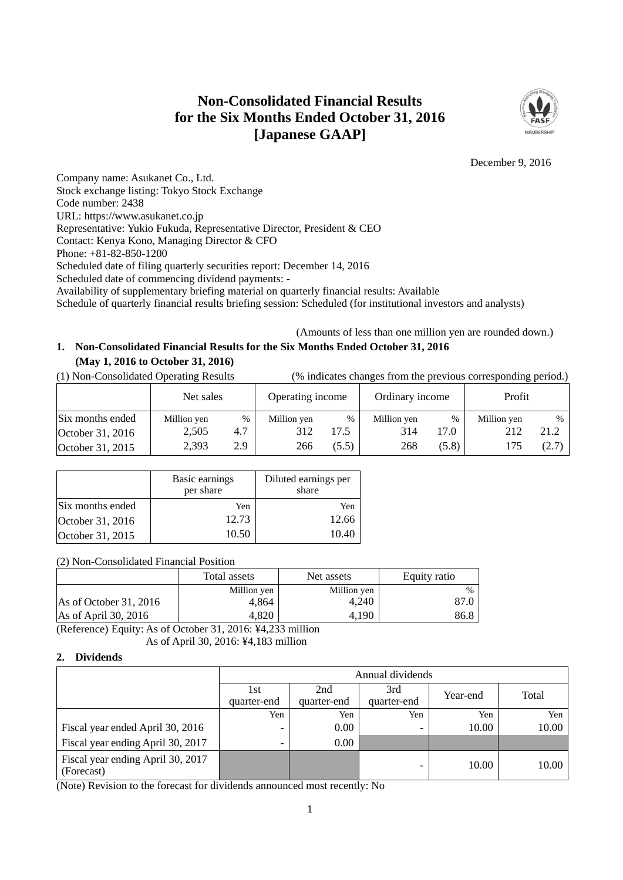# **Non-Consolidated Financial Results for the Six Months Ended October 31, 2016 [Japanese GAAP]**



December 9, 2016

Company name: Asukanet Co., Ltd. Stock exchange listing: Tokyo Stock Exchange Code number: 2438 URL: https://www.asukanet.co.jp Representative: Yukio Fukuda, Representative Director, President & CEO Contact: Kenya Kono, Managing Director & CFO Phone: +81-82-850-1200 Scheduled date of filing quarterly securities report: December 14, 2016 Scheduled date of commencing dividend payments: - Availability of supplementary briefing material on quarterly financial results: Available Schedule of quarterly financial results briefing session: Scheduled (for institutional investors and analysts)

(Amounts of less than one million yen are rounded down.)

## **1. Non-Consolidated Financial Results for the Six Months Ended October 31, 2016 (May 1, 2016 to October 31, 2016)**

(1) Non-Consolidated Operating Results (% indicates changes from the previous corresponding period.)

|                  | Net sales   |      | Operating income |       | Ordinary income |       | Profit      |       |
|------------------|-------------|------|------------------|-------|-----------------|-------|-------------|-------|
| Six months ended | Million yen | $\%$ | Million yen      | $\%$  | Million yen     | %     | Million yen | $\%$  |
| October 31, 2016 | 2,505       | 4.7  | 312              | 7.5   | 314             | 17.0  | 212         | 21.2  |
| October 31, 2015 | 2,393       | 2.9  | 266              | (5.5) | 268             | (5.8) | 175         | (2.7) |

|                  | Basic earnings<br>per share | Diluted earnings per<br>share |
|------------------|-----------------------------|-------------------------------|
| Six months ended | Yen                         | Yen                           |
| October 31, 2016 | 12.73                       | 12.66                         |
| October 31, 2015 | 10.50                       | 10.40                         |

(2) Non-Consolidated Financial Position

|                        | Total assets | Net assets  | Equity ratio |
|------------------------|--------------|-------------|--------------|
|                        | Million yen  | Million yen | $\%$         |
| As of October 31, 2016 | 4.864        | 4.240       | 87.0         |
| As of April 30, 2016   | 4.820        | 4.190       | 86.8         |

(Reference) Equity: As of October 31, 2016: ¥4,233 million As of April 30, 2016: ¥4,183 million

## **2. Dividends**

|                                                 | Annual dividends         |             |                          |          |       |  |  |  |
|-------------------------------------------------|--------------------------|-------------|--------------------------|----------|-------|--|--|--|
|                                                 | 1st                      | 2nd         | 3rd                      | Year-end | Total |  |  |  |
|                                                 | quarter-end              | quarter-end | quarter-end              |          |       |  |  |  |
|                                                 | Yen                      | Yen         | Yen                      | Yen      | Yen   |  |  |  |
| Fiscal year ended April 30, 2016                | $\overline{\phantom{0}}$ | $0.00\,$    | $\overline{\phantom{0}}$ | 10.00    | 10.00 |  |  |  |
| Fiscal year ending April 30, 2017               |                          | 0.00        |                          |          |       |  |  |  |
| Fiscal year ending April 30, 2017<br>(Forecast) |                          |             | $\overline{\phantom{0}}$ | 10.00    | 10.00 |  |  |  |

(Note) Revision to the forecast for dividends announced most recently: No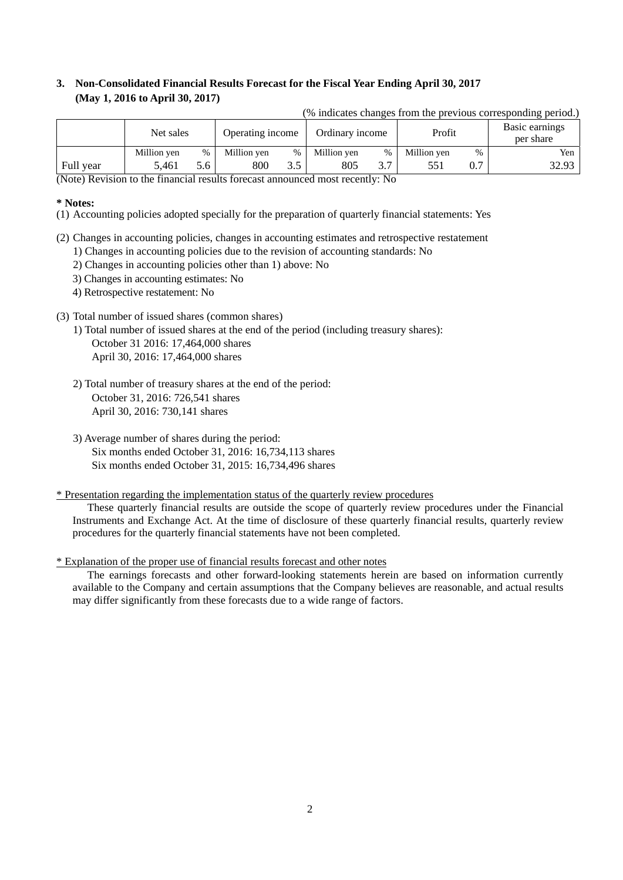# **3. Non-Consolidated Financial Results Forecast for the Fiscal Year Ending April 30, 2017 (May 1, 2016 to April 30, 2017)**

(% indicates changes from the previous corresponding period.)

|                            | Net sales   |      | Ordinary income<br>Operating income |                | Profit      |      | Basic earnings<br>per share |     |       |
|----------------------------|-------------|------|-------------------------------------|----------------|-------------|------|-----------------------------|-----|-------|
|                            | Million yen | $\%$ | Million ven                         | %              | Million yen | $\%$ | Million yen                 | %   | Yen   |
| Full year<br>$\sim$ $\sim$ | 5.461       | 5.6  | 800                                 | 2 <sub>5</sub> | 805         | .    |                             | 0.7 | 32.93 |

(Note) Revision to the financial results forecast announced most recently: No

### **\* Notes:**

(1) Accounting policies adopted specially for the preparation of quarterly financial statements: Yes

- (2) Changes in accounting policies, changes in accounting estimates and retrospective restatement 1) Changes in accounting policies due to the revision of accounting standards: No
	- 2) Changes in accounting policies other than 1) above: No
	- 3) Changes in accounting estimates: No
	- 4) Retrospective restatement: No

## (3) Total number of issued shares (common shares)

- 1) Total number of issued shares at the end of the period (including treasury shares): October 31 2016: 17,464,000 shares April 30, 2016: 17,464,000 shares
- 2) Total number of treasury shares at the end of the period: October 31, 2016: 726,541 shares April 30, 2016: 730,141 shares
- 3) Average number of shares during the period: Six months ended October 31, 2016: 16,734,113 shares Six months ended October 31, 2015: 16,734,496 shares

#### \* Presentation regarding the implementation status of the quarterly review procedures

These quarterly financial results are outside the scope of quarterly review procedures under the Financial Instruments and Exchange Act. At the time of disclosure of these quarterly financial results, quarterly review procedures for the quarterly financial statements have not been completed.

#### \* Explanation of the proper use of financial results forecast and other notes

The earnings forecasts and other forward-looking statements herein are based on information currently available to the Company and certain assumptions that the Company believes are reasonable, and actual results may differ significantly from these forecasts due to a wide range of factors.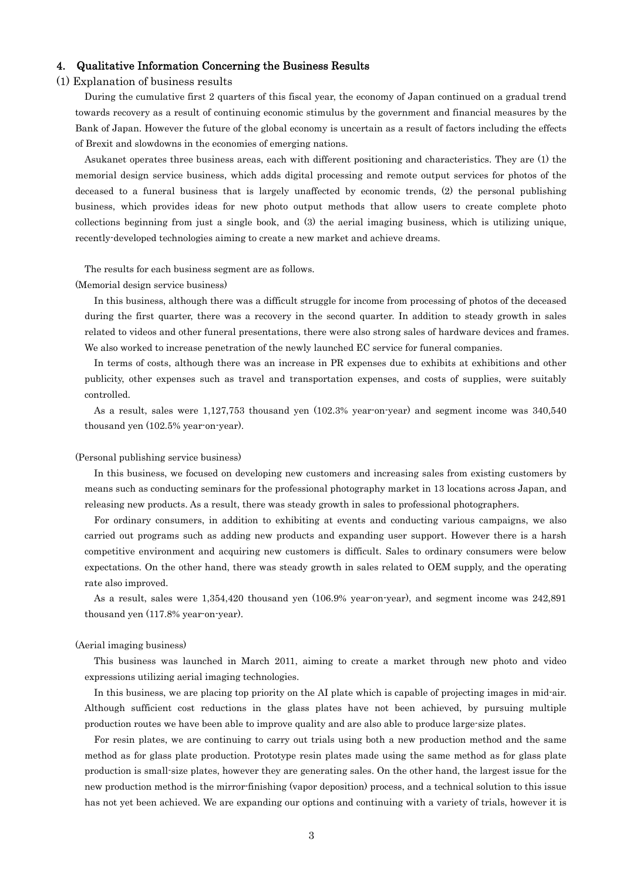### 4. Qualitative Information Concerning the Business Results

#### (1) Explanation of business results

During the cumulative first 2 quarters of this fiscal year, the economy of Japan continued on a gradual trend towards recovery as a result of continuing economic stimulus by the government and financial measures by the Bank of Japan. However the future of the global economy is uncertain as a result of factors including the effects of Brexit and slowdowns in the economies of emerging nations.

Asukanet operates three business areas, each with different positioning and characteristics. They are (1) the memorial design service business, which adds digital processing and remote output services for photos of the deceased to a funeral business that is largely unaffected by economic trends, (2) the personal publishing business, which provides ideas for new photo output methods that allow users to create complete photo collections beginning from just a single book, and (3) the aerial imaging business, which is utilizing unique, recently-developed technologies aiming to create a new market and achieve dreams.

The results for each business segment are as follows.

#### (Memorial design service business)

In this business, although there was a difficult struggle for income from processing of photos of the deceased during the first quarter, there was a recovery in the second quarter. In addition to steady growth in sales related to videos and other funeral presentations, there were also strong sales of hardware devices and frames. We also worked to increase penetration of the newly launched EC service for funeral companies.

In terms of costs, although there was an increase in PR expenses due to exhibits at exhibitions and other publicity, other expenses such as travel and transportation expenses, and costs of supplies, were suitably controlled.

As a result, sales were 1,127,753 thousand yen (102.3% year-on-year) and segment income was 340,540 thousand yen (102.5% year-on-year).

#### (Personal publishing service business)

In this business, we focused on developing new customers and increasing sales from existing customers by means such as conducting seminars for the professional photography market in 13 locations across Japan, and releasing new products. As a result, there was steady growth in sales to professional photographers.

For ordinary consumers, in addition to exhibiting at events and conducting various campaigns, we also carried out programs such as adding new products and expanding user support. However there is a harsh competitive environment and acquiring new customers is difficult. Sales to ordinary consumers were below expectations. On the other hand, there was steady growth in sales related to OEM supply, and the operating rate also improved.

As a result, sales were 1,354,420 thousand yen (106.9% year-on-year), and segment income was 242,891 thousand yen (117.8% year-on-year).

#### (Aerial imaging business)

This business was launched in March 2011, aiming to create a market through new photo and video expressions utilizing aerial imaging technologies.

In this business, we are placing top priority on the AI plate which is capable of projecting images in mid-air. Although sufficient cost reductions in the glass plates have not been achieved, by pursuing multiple production routes we have been able to improve quality and are also able to produce large-size plates.

For resin plates, we are continuing to carry out trials using both a new production method and the same method as for glass plate production. Prototype resin plates made using the same method as for glass plate production is small-size plates, however they are generating sales. On the other hand, the largest issue for the new production method is the mirror-finishing (vapor deposition) process, and a technical solution to this issue has not yet been achieved. We are expanding our options and continuing with a variety of trials, however it is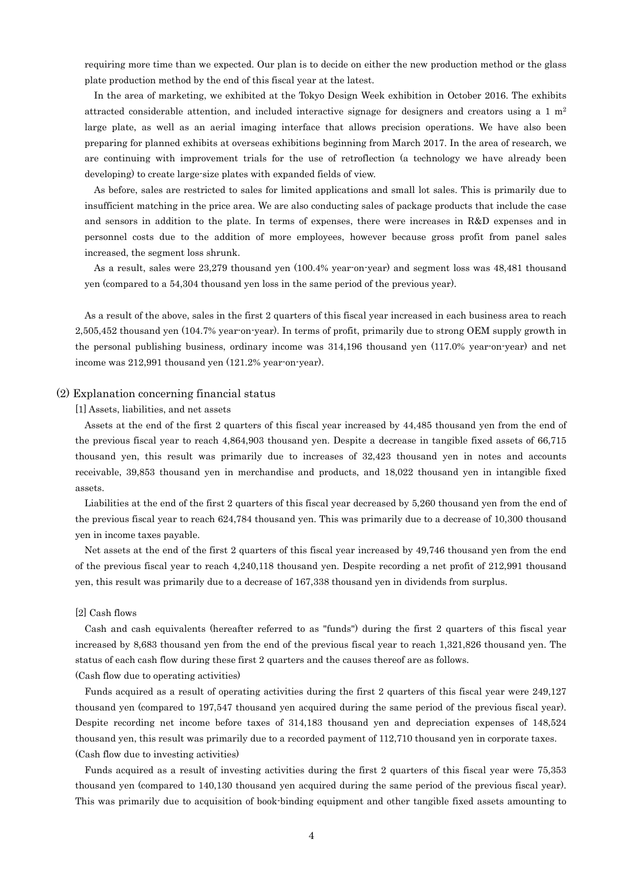requiring more time than we expected. Our plan is to decide on either the new production method or the glass plate production method by the end of this fiscal year at the latest.

In the area of marketing, we exhibited at the Tokyo Design Week exhibition in October 2016. The exhibits attracted considerable attention, and included interactive signage for designers and creators using a 1  $m<sup>2</sup>$ large plate, as well as an aerial imaging interface that allows precision operations. We have also been preparing for planned exhibits at overseas exhibitions beginning from March 2017. In the area of research, we are continuing with improvement trials for the use of retroflection (a technology we have already been developing) to create large-size plates with expanded fields of view.

As before, sales are restricted to sales for limited applications and small lot sales. This is primarily due to insufficient matching in the price area. We are also conducting sales of package products that include the case and sensors in addition to the plate. In terms of expenses, there were increases in R&D expenses and in personnel costs due to the addition of more employees, however because gross profit from panel sales increased, the segment loss shrunk.

As a result, sales were 23,279 thousand yen (100.4% year-on-year) and segment loss was 48,481 thousand yen (compared to a 54,304 thousand yen loss in the same period of the previous year).

As a result of the above, sales in the first 2 quarters of this fiscal year increased in each business area to reach 2,505,452 thousand yen (104.7% year-on-year). In terms of profit, primarily due to strong OEM supply growth in the personal publishing business, ordinary income was 314,196 thousand yen (117.0% year-on-year) and net income was 212,991 thousand yen (121.2% year-on-year).

## (2) Explanation concerning financial status

#### [1] Assets, liabilities, and net assets

Assets at the end of the first 2 quarters of this fiscal year increased by 44,485 thousand yen from the end of the previous fiscal year to reach 4,864,903 thousand yen. Despite a decrease in tangible fixed assets of 66,715 thousand yen, this result was primarily due to increases of 32,423 thousand yen in notes and accounts receivable, 39,853 thousand yen in merchandise and products, and 18,022 thousand yen in intangible fixed assets.

Liabilities at the end of the first 2 quarters of this fiscal year decreased by 5,260 thousand yen from the end of the previous fiscal year to reach 624,784 thousand yen. This was primarily due to a decrease of 10,300 thousand yen in income taxes payable.

Net assets at the end of the first 2 quarters of this fiscal year increased by 49,746 thousand yen from the end of the previous fiscal year to reach 4,240,118 thousand yen. Despite recording a net profit of 212,991 thousand yen, this result was primarily due to a decrease of 167,338 thousand yen in dividends from surplus.

#### [2] Cash flows

Cash and cash equivalents (hereafter referred to as "funds") during the first 2 quarters of this fiscal year increased by 8,683 thousand yen from the end of the previous fiscal year to reach 1,321,826 thousand yen. The status of each cash flow during these first 2 quarters and the causes thereof are as follows.

#### (Cash flow due to operating activities)

Funds acquired as a result of operating activities during the first 2 quarters of this fiscal year were 249,127 thousand yen (compared to 197,547 thousand yen acquired during the same period of the previous fiscal year). Despite recording net income before taxes of 314,183 thousand yen and depreciation expenses of 148,524 thousand yen, this result was primarily due to a recorded payment of 112,710 thousand yen in corporate taxes. (Cash flow due to investing activities)

Funds acquired as a result of investing activities during the first 2 quarters of this fiscal year were 75,353 thousand yen (compared to 140,130 thousand yen acquired during the same period of the previous fiscal year). This was primarily due to acquisition of book-binding equipment and other tangible fixed assets amounting to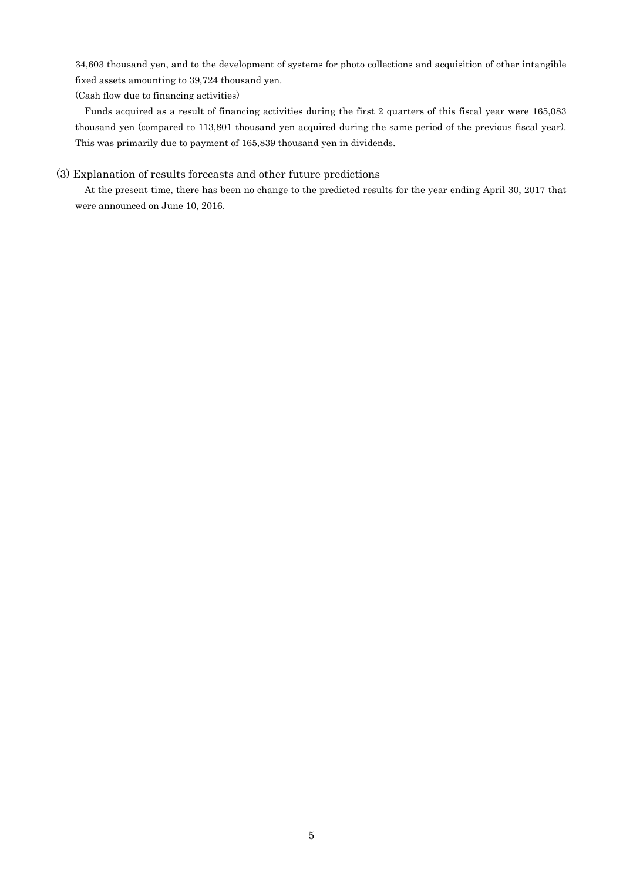34,603 thousand yen, and to the development of systems for photo collections and acquisition of other intangible fixed assets amounting to 39,724 thousand yen.

(Cash flow due to financing activities)

Funds acquired as a result of financing activities during the first 2 quarters of this fiscal year were 165,083 thousand yen (compared to 113,801 thousand yen acquired during the same period of the previous fiscal year). This was primarily due to payment of 165,839 thousand yen in dividends.

## (3) Explanation of results forecasts and other future predictions

At the present time, there has been no change to the predicted results for the year ending April 30, 2017 that were announced on June 10, 2016.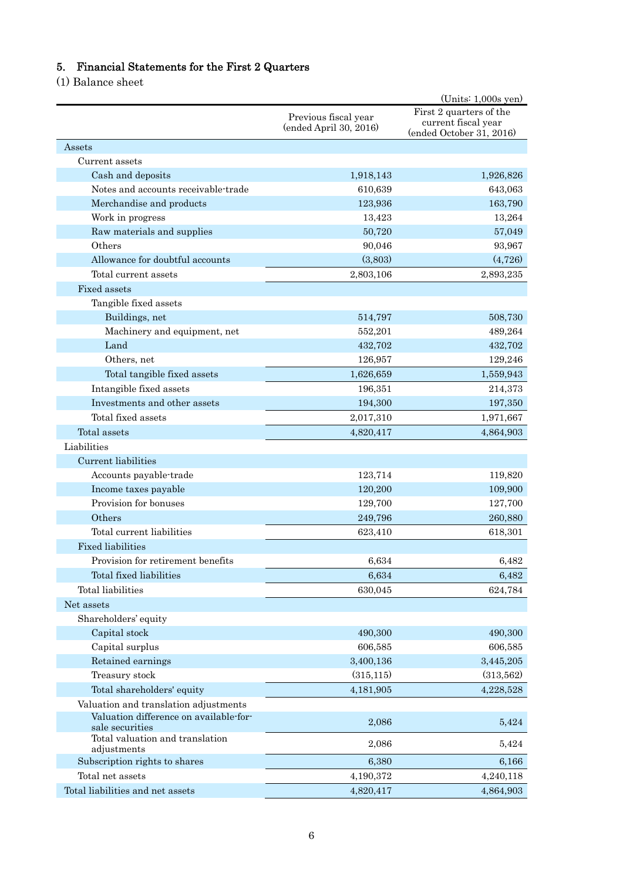# 5. Financial Statements for the First 2 Quarters

(1) Balance sheet

|                                                           |                                                | $(Units: 1,000s$ yen)                                                      |
|-----------------------------------------------------------|------------------------------------------------|----------------------------------------------------------------------------|
|                                                           | Previous fiscal year<br>(ended April 30, 2016) | First 2 quarters of the<br>current fiscal year<br>(ended October 31, 2016) |
| Assets                                                    |                                                |                                                                            |
| Current assets                                            |                                                |                                                                            |
| Cash and deposits                                         | 1,918,143                                      | 1,926,826                                                                  |
| Notes and accounts receivable-trade                       | 610,639                                        | 643,063                                                                    |
| Merchandise and products                                  | 123,936                                        | 163,790                                                                    |
| Work in progress                                          | 13,423                                         | 13,264                                                                     |
| Raw materials and supplies                                | 50,720                                         | 57,049                                                                     |
| Others                                                    | 90,046                                         | 93,967                                                                     |
| Allowance for doubtful accounts                           | (3,803)                                        | (4,726)                                                                    |
| Total current assets                                      | 2,803,106                                      | 2,893,235                                                                  |
| Fixed assets                                              |                                                |                                                                            |
| Tangible fixed assets                                     |                                                |                                                                            |
| Buildings, net                                            | 514,797                                        | 508,730                                                                    |
| Machinery and equipment, net                              | 552,201                                        | 489,264                                                                    |
| Land                                                      | 432,702                                        | 432,702                                                                    |
| Others, net                                               | 126,957                                        | 129,246                                                                    |
| Total tangible fixed assets                               | 1,626,659                                      | 1,559,943                                                                  |
| Intangible fixed assets                                   | 196,351                                        | 214,373                                                                    |
| Investments and other assets                              | 194,300                                        | 197,350                                                                    |
| Total fixed assets                                        | 2,017,310                                      | 1,971,667                                                                  |
| Total assets                                              | 4,820,417                                      | 4,864,903                                                                  |
| Liabilities                                               |                                                |                                                                            |
| Current liabilities                                       |                                                |                                                                            |
| Accounts payable-trade                                    | 123,714                                        | 119,820                                                                    |
| Income taxes payable                                      | 120,200                                        | 109,900                                                                    |
| Provision for bonuses                                     | 129,700                                        | 127,700                                                                    |
| Others                                                    | 249,796                                        | 260,880                                                                    |
| Total current liabilities                                 | 623,410                                        | 618,301                                                                    |
| <b>Fixed liabilities</b>                                  |                                                |                                                                            |
| Provision for retirement benefits                         | 6,634                                          | 6,482                                                                      |
| Total fixed liabilities                                   | 6,634                                          | 6,482                                                                      |
| Total liabilities                                         | 630,045                                        | 624,784                                                                    |
| Net assets                                                |                                                |                                                                            |
| Shareholders' equity                                      |                                                |                                                                            |
| Capital stock                                             | 490,300                                        | 490,300                                                                    |
| Capital surplus                                           | 606,585                                        | 606,585                                                                    |
| Retained earnings                                         | 3,400,136                                      | 3,445,205                                                                  |
| Treasury stock                                            | (315, 115)                                     | (313,562)                                                                  |
| Total shareholders' equity                                | 4,181,905                                      | 4,228,528                                                                  |
| Valuation and translation adjustments                     |                                                |                                                                            |
| Valuation difference on available-for-<br>sale securities | 2,086                                          | 5,424                                                                      |
| Total valuation and translation<br>adjustments            | 2,086                                          | 5,424                                                                      |
| Subscription rights to shares                             | 6,380                                          | 6,166                                                                      |
| Total net assets                                          | 4,190,372                                      | 4,240,118                                                                  |
| Total liabilities and net assets                          | 4,820,417                                      | 4,864,903                                                                  |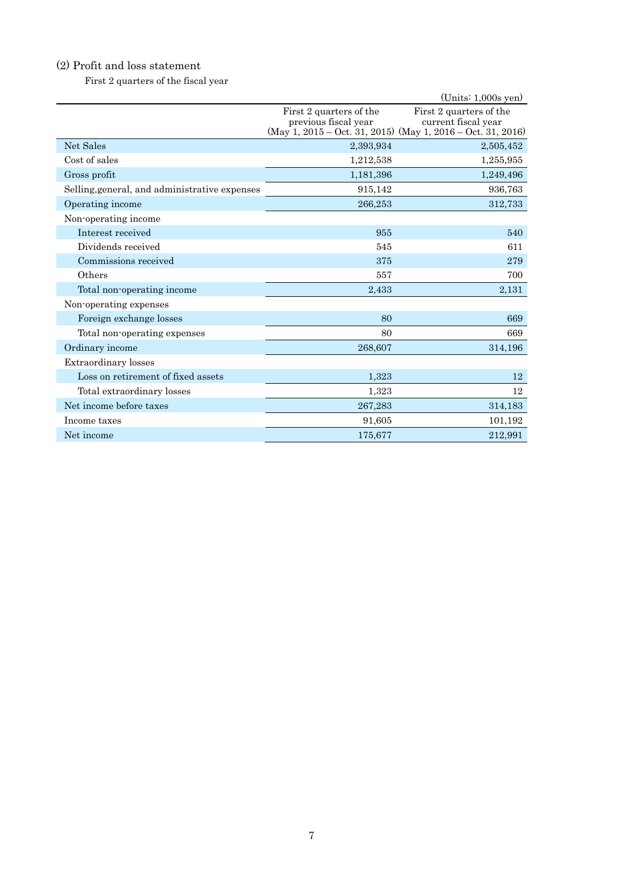# (2) Profit and loss statement

First 2 quarters of the fiscal year

|                                               |                                                 | $(Units: 1,000s$ yen)                                                                                         |
|-----------------------------------------------|-------------------------------------------------|---------------------------------------------------------------------------------------------------------------|
|                                               | First 2 quarters of the<br>previous fiscal year | First 2 quarters of the<br>current fiscal year<br>(May 1, 2015 – Oct. 31, 2015) (May 1, 2016 – Oct. 31, 2016) |
| Net Sales                                     | 2,393,934                                       | 2,505,452                                                                                                     |
| Cost of sales                                 | 1,212,538                                       | 1,255,955                                                                                                     |
| Gross profit                                  | 1,181,396                                       | 1,249,496                                                                                                     |
| Selling, general, and administrative expenses | 915,142                                         | 936,763                                                                                                       |
| Operating income                              | 266,253                                         | 312,733                                                                                                       |
| Non-operating income                          |                                                 |                                                                                                               |
| Interest received                             | 955                                             | 540                                                                                                           |
| Dividends received                            | 545                                             | 611                                                                                                           |
| Commissions received                          | 375                                             | 279                                                                                                           |
| Others                                        | 557                                             | 700                                                                                                           |
| Total non-operating income                    | 2,433                                           | 2,131                                                                                                         |
| Non-operating expenses                        |                                                 |                                                                                                               |
| Foreign exchange losses                       | 80                                              | 669                                                                                                           |
| Total non-operating expenses                  | 80                                              | 669                                                                                                           |
| Ordinary income                               | 268,607                                         | 314,196                                                                                                       |
| Extraordinary losses                          |                                                 |                                                                                                               |
| Loss on retirement of fixed assets            | 1,323                                           | 12                                                                                                            |
| Total extraordinary losses                    | 1,323                                           | 12                                                                                                            |
| Net income before taxes                       | 267,283                                         | 314,183                                                                                                       |
| Income taxes                                  | 91,605                                          | 101,192                                                                                                       |
| Net income                                    | 175,677                                         | 212,991                                                                                                       |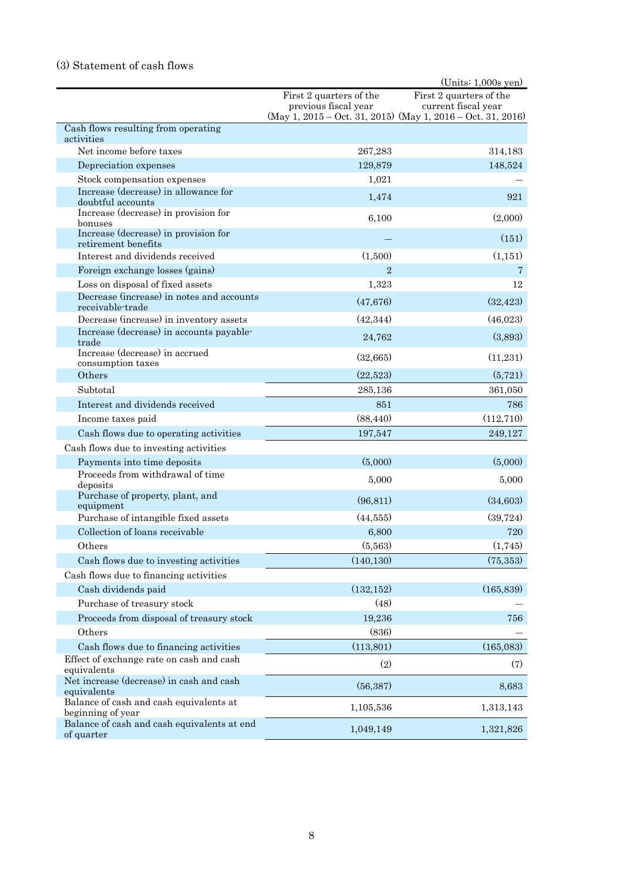# (3) Statement of cash flows

|                                                               |                                                 | $(Units: 1,000s$ yen)                                                                                             |
|---------------------------------------------------------------|-------------------------------------------------|-------------------------------------------------------------------------------------------------------------------|
|                                                               | First 2 quarters of the<br>previous fiscal year | First 2 quarters of the<br>current fiscal year<br>$(May 1, 2015 - Oct. 31, 2015)$ $(May 1, 2016 - Oct. 31, 2016)$ |
| Cash flows resulting from operating<br>activities             |                                                 |                                                                                                                   |
| Net income before taxes                                       | 267,283                                         | 314,183                                                                                                           |
| Depreciation expenses                                         | 129,879                                         | 148,524                                                                                                           |
| Stock compensation expenses                                   | 1,021                                           |                                                                                                                   |
| Increase (decrease) in allowance for<br>doubtful accounts     | 1,474                                           | 921                                                                                                               |
| Increase (decrease) in provision for<br>bonuses               | 6,100                                           | (2,000)                                                                                                           |
| Increase (decrease) in provision for<br>retirement benefits   |                                                 | (151)                                                                                                             |
| Interest and dividends received                               | (1,500)                                         | (1, 151)                                                                                                          |
| Foreign exchange losses (gains)                               | $\overline{2}$                                  | 7                                                                                                                 |
| Loss on disposal of fixed assets                              | 1,323                                           | 12                                                                                                                |
| Decrease (increase) in notes and accounts<br>receivable-trade | (47, 676)                                       | (32, 423)                                                                                                         |
| Decrease (increase) in inventory assets                       | (42, 344)                                       | (46,023)                                                                                                          |
| Increase (decrease) in accounts payable-<br>trade             | 24,762                                          | (3,893)                                                                                                           |
| Increase (decrease) in accrued<br>consumption taxes           | (32,665)                                        | (11,231)                                                                                                          |
| Others                                                        | (22,523)                                        | (5, 721)                                                                                                          |
| Subtotal                                                      | 285,136                                         | 361,050                                                                                                           |
| Interest and dividends received                               | 851                                             | 786                                                                                                               |
| Income taxes paid                                             | (88, 440)                                       | (112, 710)                                                                                                        |
| Cash flows due to operating activities                        | 197,547                                         | 249,127                                                                                                           |
| Cash flows due to investing activities                        |                                                 |                                                                                                                   |
| Payments into time deposits                                   | (5,000)                                         | (5,000)                                                                                                           |
| Proceeds from withdrawal of time<br>deposits                  | 5,000                                           | 5,000                                                                                                             |
| Purchase of property, plant, and<br>equipment                 | (96, 811)                                       | (34,603)                                                                                                          |
| Purchase of intangible fixed assets                           | (44, 555)                                       | (39, 724)                                                                                                         |
| Collection of loans receivable                                | 6,800                                           | 720                                                                                                               |
| Others                                                        | (5,563)                                         | (1,745)                                                                                                           |
| Cash flows due to investing activities                        | (140, 130)                                      | (75, 353)                                                                                                         |
| Cash flows due to financing activities                        |                                                 |                                                                                                                   |
| Cash dividends paid                                           | (132, 152)                                      | (165, 839)                                                                                                        |
| Purchase of treasury stock                                    | (48)                                            |                                                                                                                   |
| Proceeds from disposal of treasury stock                      | 19,236                                          | 756                                                                                                               |
| Others                                                        | (836)                                           |                                                                                                                   |
| Cash flows due to financing activities                        | (113, 801)                                      | (165,083)                                                                                                         |
| Effect of exchange rate on cash and cash<br>equivalents       | (2)                                             | (7)                                                                                                               |
| Net increase (decrease) in cash and cash<br>equivalents       | (56, 387)                                       | 8,683                                                                                                             |
| Balance of cash and cash equivalents at<br>beginning of year  | 1,105,536                                       | 1,313,143                                                                                                         |
| Balance of cash and cash equivalents at end<br>of quarter     | 1,049,149                                       | 1,321,826                                                                                                         |